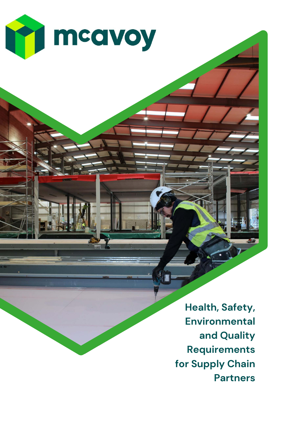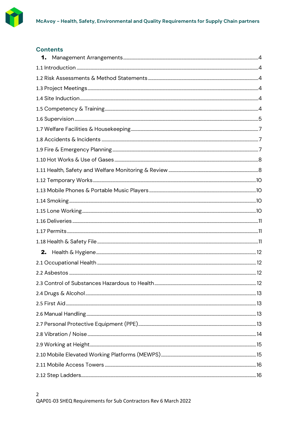

# **Contents**

| 1. |  |
|----|--|
|    |  |
|    |  |
|    |  |
|    |  |
|    |  |
|    |  |
|    |  |
|    |  |
|    |  |
|    |  |
|    |  |
|    |  |
|    |  |
|    |  |
|    |  |
|    |  |
|    |  |
|    |  |
| 2. |  |
|    |  |
|    |  |
|    |  |
|    |  |
|    |  |
|    |  |
|    |  |
|    |  |
|    |  |
|    |  |
|    |  |
|    |  |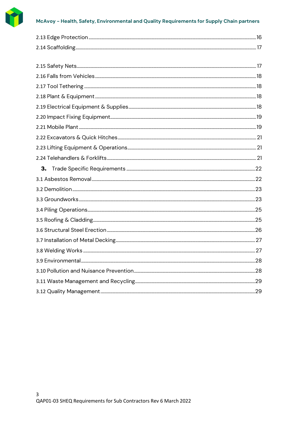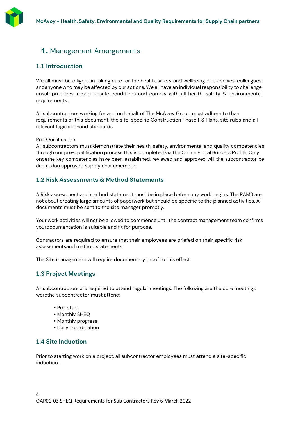# <span id="page-3-0"></span>1. Management Arrangements

# <span id="page-3-1"></span>**1.1 Introduction**

We all must be diligent in taking care for the health, safety and wellbeing of ourselves, colleagues andanyone who may be affected by our actions. We all have an individual responsibility to challenge unsafepractices, report unsafe conditions and comply with all health, safety & environmental requirements.

All subcontractors working for and on behalf of The McAvoy Group must adhere to thae requirements of this document, the site-specific Construction Phase HS Plans, site rules and all relevant legislationand standards.

Pre-Qualification

All subcontractors must demonstrate their health, safety, environmental and quality competencies through our pre-qualification process this is completed via the Online Portal Builders Profile. Only oncethe key competencies have been established, reviewed and approved will the subcontractor be deemedan approved supply chain member.

# <span id="page-3-2"></span>**1.2 Risk Assessments & Method Statements**

A Risk assessment and method statement must be in place before any work begins. The RAMS are not about creating large amounts of paperwork but should be specific to the planned activities. All documents must be sent to the site manager promptly.

Your work activities will not be allowed to commence until the contract management team confirms yourdocumentation is suitable and fit for purpose.

Contractors are required to ensure that their employees are briefed on their specific risk assessmentsand method statements.

The Site management will require documentary proof to this effect.

# <span id="page-3-3"></span>**1.3 Project Meetings**

All subcontractors are required to attend regular meetings. The following are the core meetings werethe subcontractor must attend:

- Pre-start
- Monthly SHEQ
- Monthly progress
- Daily coordination

# <span id="page-3-4"></span>**1.4 Site Induction**

Prior to starting work on a project, all subcontractor employees must attend a site-specific induction.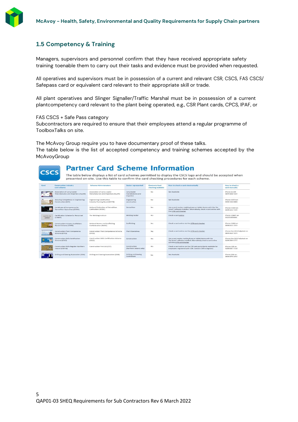<span id="page-4-0"></span>

# **1.5 Competency & Training**

Managers, supervisors and personnel confirm that they have received appropriate safety training toenable them to carry out their tasks and evidence must be provided when requested.

All operatives and supervisors must be in possession of a current and relevant CSR, CSCS, FAS CSCS/ Safepass card or equivalent card relevant to their appropriate skill or trade.

All plant operatives and Slinger Signaller/Traffic Marshal must be in possession of a current plantcompetency card relevant to the plant being operated, e.g., CSR Plant cards, CPCS, IPAF, or

FAS CSCS + Safe Pass category

**CSCS** 

Subcontractors are required to ensure that their employees attend a regular programme of ToolboxTalks on site.

The McAvoy Group require you to have documentary proof of these talks. The table below is the list of accepted competency and training schemes accepted by the McAvoyGroup

# **Partner Card Scheme Information**

The table below displays a list of card schemes permitted to display the CSCS logo and should be accepted when presented on-site. Use this table to confirm the card checking procedures for each scheme

<span id="page-4-1"></span>

| Card                    | <b>Construction Industry</b><br>card scheme                        | <b>Scheme Administrators</b>                                       | Sector represented                                    | <b>Electronic Card</b><br>checking available | How to check a card electronically                                                                                                                           | How to check a<br>card manually             |
|-------------------------|--------------------------------------------------------------------|--------------------------------------------------------------------|-------------------------------------------------------|----------------------------------------------|--------------------------------------------------------------------------------------------------------------------------------------------------------------|---------------------------------------------|
|                         | Association of Lorry Loader<br>Manufacturers and Importers (ALLMI) | Association of Lorry Loader<br>Manufacturers and Importers (ALLMI) | Lorry loader<br>manufacturers and<br><i>importers</i> | <b>No</b>                                    | Not Available                                                                                                                                                | Phone ALLML<br>0844 858 4334                |
|                         | Assuring Competence in Engineering<br>Construction (ACE)           | <b>Engineering Construction</b><br>Industry Training Board (ECITB) | Engineering<br>construction                           | No.                                          | Not Available                                                                                                                                                | Phone ECITB on<br>0192 326 0000             |
|                         | Certificate of Competence for<br>Demolition Operatives (CCDO)      | National Federation of Demolition<br>Contractors (NFDC)            | Demolition                                            | Yes                                          | Use a card reader, mobile phone or tablet device with the 'Go<br>Smart' software installed. Alternatively, check a card online with<br>the CITB card checker | Phone CCDO on<br>0144 221 7144              |
| card to be<br>added     | Certification Scheme for Personnel<br>(CSWIP)                      | The Welding Institute                                              | Welding Sector                                        | Yes                                          | Check a card online                                                                                                                                          | Phone CSWIP on<br>01223 899000              |
|                         | <b>Construction Industry Scaffolders</b><br>Record Scheme (CISRS)  | National Access and Scaffolding<br>Confederation (NASC)            | Scaffolding                                           | Yes                                          | Check a card online via the CITB card checker.                                                                                                               | Phone CISRS on<br>0844 815 7223             |
| $\sim$                  | Construction Plant Competence<br>Scheme (CPCS)                     | Construction Plant Competence Scheme<br>[CPCS]                     | Plant Operatives                                      | Yes                                          | Check a card online via the CITB card checker                                                                                                                | Phone the CPCS helpdesk on<br>0844 815 7274 |
| <b>TELEVISION</b>       | Construction Skills Certification<br>Scheme (CSCS)                 | Construction Skills Certification Scheme<br>(CSCS)                 | Construction                                          | Yes                                          | Use a card reader, mobile phone or tablet device with the<br>'Go Smart' software installed. Alternatively, check a card online<br>with the CITB card checker | Phone the CSCS helpdesk on<br>0344 994 4777 |
|                         | Construction Skills Register Northern<br>Ireland (CSR NI)          | Construction First Ltd (CEF)                                       | Construction<br>(Northern Ireland only)               | Yes                                          | Check a card online via the CSR web portal (only available for<br>employers registered with CSR. Contact CSR to register)                                    | Phone CSR on<br>0289 087 7150               |
| <b>Indiana</b> Counters | Drilling and Sawing Association (DSA)                              | Drilling and Sawing Association (DSA)                              | <b>Drilling and Sawing</b><br>Contractors             | No                                           | Not Available                                                                                                                                                | Phone DSA on<br>0844 879 3452               |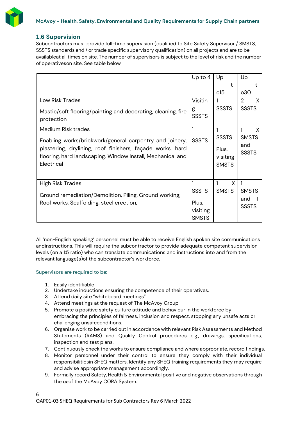

### **1.6 Supervision**

Subcontractors must provide full-time supervision (qualified to Site Safety Supervisor / SMSTS, SSSTS standards and / or trade specific supervisory qualification) on all projects and are to be availableat all times on site. The number of supervisors is subject to the level of risk and the number of operativeson site. See table below

|                                                                                                                                       | Up to 4           | Up                                | Up                  |
|---------------------------------------------------------------------------------------------------------------------------------------|-------------------|-----------------------------------|---------------------|
|                                                                                                                                       |                   | t                                 | t                   |
|                                                                                                                                       |                   | 015                               | 030                 |
| Low Risk Trades                                                                                                                       | Visitin           |                                   | X<br>2              |
| Mastic/soft flooring/painting and decorating, cleaning, fire<br>protection                                                            | g<br><b>SSSTS</b> | <b>SSSTS</b>                      | <b>SSSTS</b>        |
| Medium Risk trades                                                                                                                    |                   |                                   | X                   |
| Enabling works/brickwork/general carpentry and joinery,                                                                               | <b>SSSTS</b>      | <b>SSSTS</b>                      | <b>SMSTS</b>        |
| plastering, drylining, roof finishers, façade works, hard<br>flooring, hard landscaping. Window Install, Mechanical and<br>Electrical |                   | Plus,<br>visiting<br><b>SMSTS</b> | and<br><b>SSSTS</b> |
|                                                                                                                                       |                   |                                   |                     |
| <b>High Risk Trades</b>                                                                                                               |                   | X                                 |                     |
| Ground remediation/Demolition, Piling, Ground working,                                                                                | <b>SSSTS</b>      | <b>SMSTS</b>                      | <b>SMSTS</b>        |
| Roof works, Scaffolding, steel erection,                                                                                              | Plus,             |                                   | and                 |
|                                                                                                                                       | visiting          |                                   | <b>SSSTS</b>        |
|                                                                                                                                       | <b>SMSTS</b>      |                                   |                     |

All 'non-English speaking' personnel must be able to receive English spoken site communications andinstructions. This will require the subcontractor to provide adequate competent supervision levels (on a 1:5 ratio) who can translate communications and instructions into and from the relevant language(s)of the subcontractor's workforce.

#### Supervisors are required to be:

- 1. Easily identifiable
- 2. Undertake inductions ensuring the competence of their operatives.
- 3. Attend daily site "whiteboard meetings"
- 4. Attend meetings at the request of The McAvoy Group
- 5. Promote a positive safety culture attitude and behaviour in the workforce by embracing the principles of fairness, inclusion and respect, stopping any unsafe acts or challenging unsafeconditions.
- 6. Organise work to be carried out in accordance with relevant Risk Assessments and Method Statements (RAMS) and Quality Control procedures e.g., drawings, specifications, inspection and test plans.
- 7. Continuously check the works to ensure compliance and where appropriate, record findings.
- 8. Monitor personnel under their control to ensure they comply with their individual responsibilitiesin SHEQ matters. Identify any SHEQ training requirements they may require and advise appropriate management accordingly.
- 9. Formally record Safety, Health & Environmental positive and negative observations through the useof the McAvoy CORA System.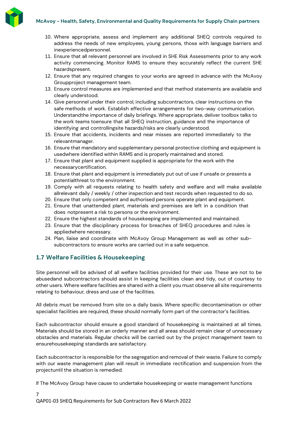

- 10. Where appropriate, assess and implement any additional SHEQ controls required to address the needs of new employees, young persons, those with language barriers and inexperiencedpersonnel.
- 11. Ensure that all relevant personnel are involved in SHE Risk Assessments prior to any work activity commencing. Monitor RAMS to ensure they accurately reflect the current SHE hazardspresent.
- 12. Ensure that any required changes to your works are agreed in advance with the McAvoy Groupproject management team.
- 13. Ensure control measures are implemented and that method statements are available and clearly understood.
- 14. Give personnel under their control, including subcontractors, clear instructions on the safe methods of work. Establish effective arrangements for two-way communication. Understandthe importance of daily briefings. Where appropriate, deliver toolbox talks to the work teams toensure that all SHEQ instruction, guidance and the importance of identifying and controllingsite hazards/risks are clearly understood.
- 15. Ensure that accidents, incidents and near misses are reported immediately to the relevantmanager.
- 16. Ensure that mandatory and supplementary personal protective clothing and equipment is usedwhere identified within RAMS and is properly maintained and stored.
- 17. Ensure that plant and equipment supplied is appropriate for the work with the necessarycertification.
- 18. Ensure that plant and equipment is immediately put out of use if unsafe or presents a potentialthreat to the environment.
- 19. Comply with all requests relating to health safety and welfare and will make available allrelevant daily / weekly / other inspection and test records when requested to do so.
- 20. Ensure that only competent and authorised persons operate plant and equipment.
- 21. Ensure that unattended plant, materials and premises are left in a condition that does notpresent a risk to persons or the environment.
- 22. Ensure the highest standards of housekeeping are implemented and maintained.
- 23. Ensure that the disciplinary process for breaches of SHEQ procedures and rules is appliedwhere necessary.
- 24. Plan, liaise and coordinate with McAvoy Group Management as well as other subsubcontractors to ensure works are carried out in a safe sequence.

# <span id="page-6-0"></span>**1.7 Welfare Facilities & Housekeeping**

Site personnel will be advised of all welfare facilities provided for their use. These are not to be abusedand subcontractors should assist in keeping facilities clean and tidy, out of courtesy to other users. Where welfare facilities are shared with a client you must observe all site requirements relating to behaviour, dress and use of the facilities.

All debris must be removed from site on a daily basis. Where specific decontamination or other specialist facilities are required, these should normally form part of the contractor's facilities.

Each subcontractor should ensure a good standard of housekeeping is maintained at all times. Materials should be stored in an orderly manner and all areas should remain clear of unnecessary obstacles and materials. Regular checks will be carried out by the project management team to ensurehousekeeping standards are satisfactory.

Each subcontractor is responsible for the segregation and removal of their waste. Failure to comply with our waste management plan will result in immediate rectification and suspension from the projectuntil the situation is remedied.

If The McAvoy Group have cause to undertake housekeeping or waste management functions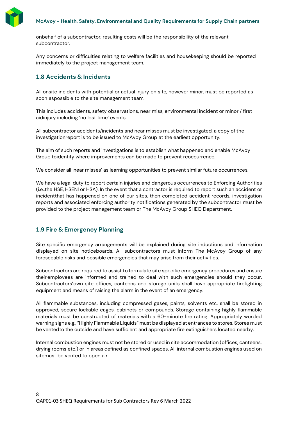

onbehalf of a subcontractor, resulting costs will be the responsibility of the relevant subcontractor.

Any concerns or difficulties relating to welfare facilities and housekeeping should be reported immediately to the project management team.

# <span id="page-7-0"></span>**1.8 Accidents & Incidents**

All onsite incidents with potential or actual injury on site, however minor, must be reported as soon aspossible to the site management team.

This includes accidents, safety observations, near miss, environmental incident or minor / first aidinjury including 'no lost time' events.

All subcontractor accidents/incidents and near misses must be investigated, a copy of the investigationreport is to be issued to McAvoy Group at the earliest opportunity.

The aim of such reports and investigations is to establish what happened and enable McAvoy Group toidentify where improvements can be made to prevent reoccurrence.

We consider all 'near misses' as learning opportunities to prevent similar future occurrences.

We have a legal duty to report certain injuries and dangerous occurrences to Enforcing Authorities (i.e.,the HSE, HSENI or HSA). In the event that a contractor is required to report such an accident or incidentthat has happened on one of our sites, then completed accident records, investigation reports and associated enforcing authority notifications generated by the subcontractor must be provided to the project management team or The McAvoy Group SHEQ Department.

# <span id="page-7-1"></span>**1.9 Fire & Emergency Planning**

Site specific emergency arrangements will be explained during site inductions and information displayed on site noticeboards. All subcontractors must inform The McAvoy Group of any foreseeable risks and possible emergencies that may arise from their activities.

Subcontractors are required to assist to formulate site specific emergency procedures and ensure their employees are informed and trained to deal with such emergencies should they occur. Subcontractors'own site offices, canteens and storage units shall have appropriate firefighting equipment and means of raising the alarm in the event of an emergency.

All flammable substances, including compressed gases, paints, solvents etc. shall be stored in approved, secure lockable cages, cabinets or compounds. Storage containing highly flammable materials must be constructed of materials with a 60-minute fire rating. Appropriately worded warning signs e.g.,"Highly Flammable Liquids" must be displayed at entrances to stores. Stores must be ventedto the outside and have sufficient and appropriate fire extinguishers located nearby.

Internal combustion engines must not be stored or used in site accommodation (offices, canteens, drying rooms etc.) or in areas defined as confined spaces. All internal combustion engines used on sitemust be vented to open air.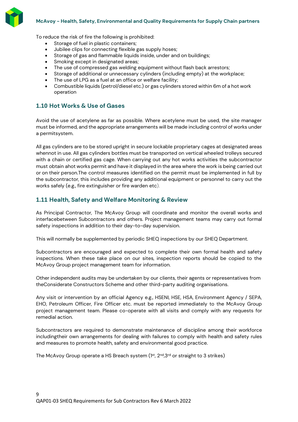

To reduce the risk of fire the following is prohibited:

- Storage of fuel in plastic containers;
- Jubilee clips for connecting flexible gas supply hoses;
- Storage of gas and flammable liquids inside, under and on buildings;
- Smoking except in designated areas;
- The use of compressed gas welding equipment without flash back arrestors;
- Storage of additional or unnecessary cylinders (including empty) at the workplace;
- The use of LPG as a fuel at an office or welfare facility;
- Combustible liquids (petrol/diesel etc.) or gas cylinders stored within 6m of a hot work operation

### <span id="page-8-0"></span>**1.10 Hot Works & Use of Gases**

Avoid the use of acetylene as far as possible. Where acetylene must be used, the site manager must be informed, and the appropriate arrangements will be made including control of works under a permitsystem.

All gas cylinders are to be stored upright in secure lockable proprietary cages at designated areas whennot in use. All gas cylinders bottles must be transported on vertical wheeled trolleys secured with a chain or certified gas cage. When carrying out any hot works activities the subcontractor must obtain ahot works permit and have it displayed in the area where the work is being carried out or on their person.The control measures identified on the permit must be implemented in full by the subcontractor, this includes providing any additional equipment or personnel to carry out the works safely (e.g., fire extinguisher or fire warden etc).

# <span id="page-8-1"></span>**1.11 Health, Safety and Welfare Monitoring & Review**

As Principal Contractor, The McAvoy Group will coordinate and monitor the overall works and interfacebetween Subcontractors and others. Project management teams may carry out formal safety inspections in addition to their day-to-day supervision.

This will normally be supplemented by periodic SHEQ inspections by our SHEQ Department.

Subcontractors are encouraged and expected to complete their own formal health and safety inspections. When these take place on our sites, inspection reports should be copied to the McAvoy Group project management team for information.

Other independent audits may be undertaken by our clients, their agents or representatives from theConsiderate Constructors Scheme and other third-party auditing organisations.

Any visit or intervention by an official Agency e.g., HSENI, HSE, HSA, Environment Agency / SEPA, EHO, Petroleum Officer, Fire Officer etc. must be reported immediately to the McAvoy Group project management team. Please co-operate with all visits and comply with any requests for remedial action.

Subcontractors are required to demonstrate maintenance of discipline among their workforce includingtheir own arrangements for dealing with failures to comply with health and safety rules and measures to promote health, safety and environmental good practice.

The McAvoy Group operate a HS Breach system ( $1<sup>st</sup>$ ,  $2<sup>nd</sup>$ , $3<sup>rd</sup>$  or straight to 3 strikes)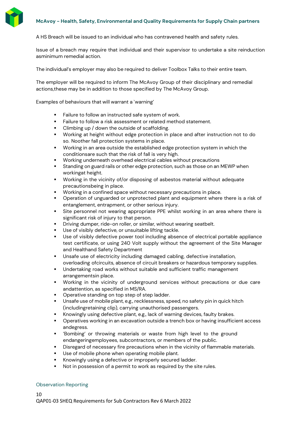

A HS Breach will be issued to an individual who has contravened health and safety rules.

Issue of a breach may require that individual and their supervisor to undertake a site reinduction asminimum remedial action.

The individual's employer may also be required to deliver Toolbox Talks to their entire team.

The employer will be required to inform The McAvoy Group of their disciplinary and remedial actions,these may be in addition to those specified by The McAvoy Group.

Examples of behaviours that will warrant a `warning'

- Failure to follow an instructed safe system of work.
- Failure to follow a risk assessment or related method statement.
- Climbing up / down the outside of scaffolding.
- Working at height without edge protection in place and after instruction not to do so. Noother fall protection systems in place.
- Working in an area outside the established edge protection system in which the conditionsare such that the risk of fall is very high.
- Working underneath overhead electrical cables without precautions
- Standing on guard rails or other edge protection, such as those on an MEWP when workingat height.
- Working in the vicinity of/or disposing of asbestos material without adequate precautionsbeing in place.
- Working in a confined space without necessary precautions in place.
- Operation of unguarded or unprotected plant and equipment where there is a risk of entanglement, entrapment, or other serious injury.
- Site personnel not wearing appropriate PPE whilst working in an area where there is significant risk of injury to that person.
- Driving dumper, ride-on roller, or similar, without wearing seatbelt.
- Use of visibly defective, or unsuitable lifting tackle.
- Use of visibly defective power tool including absence of electrical portable appliance test certificate, or using 240 Volt supply without the agreement of the Site Manager and Healthand Safety Department
- Unsafe use of electricity including damaged cabling, defective installation, overloading ofcircuits, absence of circuit breakers or hazardous temporary supplies.
- Undertaking road works without suitable and sufficient traffic management arrangementsin place.
- Working in the vicinity of underground services without precautions or due care andattention, as specified in MS/RA.
- Operative standing on top step of step ladder.
- Unsafe use of mobile plant, e.g., recklessness, speed, no safety pin in quick hitch (includingretaining clip), carrying unauthorised passengers.
- Knowingly using defective plant, e.g., lack of warning devices, faulty brakes.
- Operatives working in an excavation outside a trench box or having insufficient access andegress.
- 'Bombing' or throwing materials or waste from high level to the ground endangeringemployees, subcontractors, or members of the public.
- Disregard of necessary fire precautions when in the vicinity of flammable materials.
- Use of mobile phone when operating mobile plant.
- Knowingly using a defective or improperly secured ladder.
- Not in possession of a permit to work as required by the site rules.

#### Observation Reporting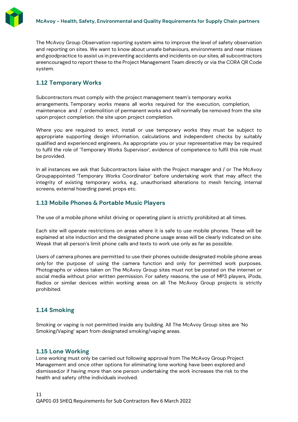

The McAvoy Group Observation reporting system aims to improve the level of safety observation and reporting on sites. We want to know about unsafe behaviours, environments and near misses and goodpractice to assist us in preventing accidents and incidents on our sites, all subcontractors areencouraged to report these to the Project Management Team directly or via the CORA QR Code system.

# <span id="page-10-0"></span>**1.12 Temporary Works**

Subcontractors must comply with the project management team's temporary works arrangements. Temporary works means all works required for the execution, completion, maintenance and / ordemolition of permanent works and will normally be removed from the site upon project completion. the site upon project completion.

Where you are required to erect, install or use temporary works they must be subject to appropriate supporting design information, calculations and independent checks by suitably qualified and experienced engineers. As appropriate you or your representative may be required to fulfil the role of 'Temporary Works Supervisor', evidence of competence to fulfil this role must be provided.

In all instances we ask that Subcontractors liaise with the Project manager and / or The McAvoy Groupappointed 'Temporary Works Coordinator' before undertaking work that may affect the integrity of existing temporary works, e.g., unauthorised alterations to mesh fencing, internal screens, external hoarding panel, props etc.

# <span id="page-10-1"></span>**1.13 Mobile Phones & Portable Music Players**

The use of a mobile phone whilst driving or operating plant is strictly prohibited at all times.

Each site will operate restrictions on areas where it is safe to use mobile phones. These will be explained at site induction and the designated phone usage areas will be clearly indicated on site. Weask that all person's limit phone calls and texts to work use only as far as possible.

Users of camera phones are permitted to use their phones outside designated mobile phone areas only for the purpose of using the camera function and only for permitted work purposes. Photographs or videos taken on The McAvoy Group sites must not be posted on the internet or social media without prior written permission. For safety reasons, the use of MP3 players, iPods, Radios or similar devices within working areas on all The McAvoy Group projects is strictly prohibited.

# <span id="page-10-2"></span>**1.14 Smoking**

Smoking or vaping is not permitted inside any building. All The McAvoy Group sites are 'No Smoking/Vaping' apart from designated smoking/vaping areas.

### <span id="page-10-3"></span>**1.15 Lone Working**

Lone working must only be carried out following approval from The McAvoy Group Project Management and once other options for eliminating lone working have been explored and dismissed,or if having more than one person undertaking the work increases the risk to the health and safety ofthe individuals involved.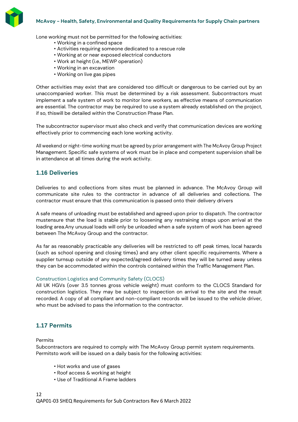

Lone working must not be permitted for the following activities:

- Working in a confined space
- Activities requiring someone dedicated to a rescue role
- Working at or near exposed electrical conductors
- Work at height (i.e., MEWP operation)
- Working in an excavation
- Working on live gas pipes

Other activities may exist that are considered too difficult or dangerous to be carried out by an unaccompanied worker. This must be determined by a risk assessment. Subcontractors must implement a safe system of work to monitor lone workers, as effective means of communication are essential. The contractor may be required to use a system already established on the project, if so, thiswill be detailed within the Construction Phase Plan.

The subcontractor supervisor must also check and verify that communication devices are working effectively prior to commencing each lone working activity.

All weekend or night-time working must be agreed by prior arrangement with The McAvoy Group Project Management. Specific safe systems of work must be in place and competent supervision shall be in attendance at all times during the work activity.

# <span id="page-11-0"></span>**1.16 Deliveries**

Deliveries to and collections from sites must be planned in advance. The McAvoy Group will communicate site rules to the contractor in advance of all deliveries and collections. The contractor must ensure that this communication is passed onto their delivery drivers

A safe means of unloading must be established and agreed upon prior to dispatch. The contractor mustensure that the load is stable prior to loosening any restraining straps upon arrival at the loading area.Any unusual loads will only be unloaded when a safe system of work has been agreed between The McAvoy Group and the contractor.

As far as reasonably practicable any deliveries will be restricted to off peak times, local hazards (such as school opening and closing times) and any other client specific requirements. Where a supplier turnsup outside of any expected/agreed delivery times they will be turned away unless they can be accommodated within the controls contained within the Traffic Management Plan.

#### Construction Logistics and Community Safety (CLOCS)

All UK HGVs (over 3.5 tonnes gross vehicle weight) must conform to the CLOCS Standard for construction logistics. They may be subject to inspection on arrival to the site and the result recorded. A copy of all compliant and non-compliant records will be issued to the vehicle driver, who must be advised to pass the information to the contractor.

# <span id="page-11-1"></span>**1.17 Permits**

#### Permits

Subcontractors are required to comply with The McAvoy Group permit system requirements. Permitsto work will be issued on a daily basis for the following activities:

- Hot works and use of gases
- Roof access & working at height
- Use of Traditional A Frame ladders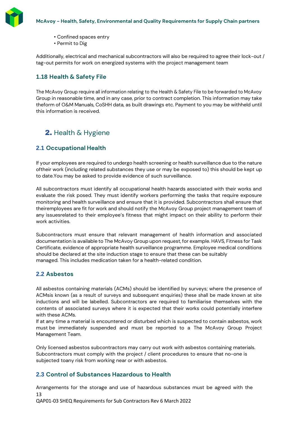

- Confined spaces entry
- Permit to Dig

Additionally, electrical and mechanical subcontractors will also be required to agree their lock-out / tag-out permits for work on energized systems with the project management team

# <span id="page-12-0"></span>**1.18 Health & Safety File**

The McAvoy Group require all information relating to the Health & Safety File to be forwarded to McAvoy Group in reasonable time, and in any case, prior to contract completion. This information may take theform of O&M Manuals, CoSHH data, as built drawings etc. Payment to you may be withheld until this information is received.

# 2. Health & Hygiene

# <span id="page-12-2"></span><span id="page-12-1"></span>**2.1 Occupational Health**

If your employees are required to undergo health screening or health surveillance due to the nature oftheir work (including related substances they use or may be exposed to) this should be kept up to date.You may be asked to provide evidence of such surveillance.

All subcontractors must identify all occupational health hazards associated with their works and evaluate the risk posed. They must identify workers performing the tasks that require exposure monitoring and health surveillance and ensure that it is provided. Subcontractors shall ensure that theiremployees are fit for work and should notify the McAvoy Group project management team of any issuesrelated to their employee's fitness that might impact on their ability to perform their work activities.

Subcontractors must ensure that relevant management of health information and associated documentation is available to The McAvoy Group upon request, for example. HAVS, Fitness for Task Certificate, evidence of appropriate health surveillance programme. Employee medical conditions should be declared at the site induction stage to ensure that these can be suitably managed. This includes medication taken for a health-related condition.

# <span id="page-12-3"></span>**2.2 Asbestos**

All asbestos containing materials (ACMs) should be identified by surveys; where the presence of ACMsis known (as a result of surveys and subsequent enquiries) these shall be made known at site inductions and will be labelled. Subcontractors are required to familiarise themselves with the contents of associated surveys where it is expected that their works could potentially interfere with these ACMs.

If at any time a material is encountered or disturbed which is suspected to contain asbestos, work must be immediately suspended and must be reported to a The McAvoy Group Project Management Team.

Only licensed asbestos subcontractors may carry out work with asbestos containing materials. Subcontractors must comply with the project / client procedures to ensure that no-one is subjected toany risk from working near or with asbestos.

### <span id="page-12-4"></span>**2.3 Control of Substances Hazardous to Health**

13 Arrangements for the storage and use of hazardous substances must be agreed with the

QAP01-03 SHEQ Requirements for Sub Contractors Rev 6 March 2022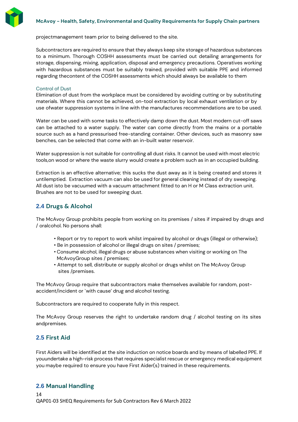

projectmanagement team prior to being delivered to the site.

Subcontractors are required to ensure that they always keep site storage of hazardous substances to a minimum. Thorough COSHH assessments must be carried out detailing arrangements for storage, dispensing, mixing, application, disposal and emergency precautions. Operatives working with hazardous substances must be suitably trained, provided with suitable PPE and informed regarding thecontent of the COSHH assessments which should always be available to them

#### Control of Dust

Elimination of dust from the workplace must be considered by avoiding cutting or by substituting materials. Where this cannot be achieved, on-tool extraction by local exhaust ventilation or by use ofwater suppression systems in line with the manufactures recommendations are to be used.

Water can be used with some tasks to effectively damp down the dust. Most modern cut-off saws can be attached to a water supply. The water can come directly from the mains or a portable source such as a hand pressurised free-standing container. Other devices, such as masonry saw benches, can be selected that come with an in-built water reservoir.

Water suppression is not suitable for controlling all dust risks. It cannot be used with most electric tools,on wood or where the waste slurry would create a problem such as in an occupied building.

Extraction is an effective alternative; this sucks the dust away as it is being created and stores it untilemptied. Extraction vacuum can also be used for general cleaning instead of dry sweeping. All dust isto be vacuumed with a vacuum attachment fitted to an H or M Class extraction unit. Brushes are not to be used for sweeping dust.

### <span id="page-13-0"></span>**2.4 Drugs & Alcohol**

The McAvoy Group prohibits people from working on its premises / sites if impaired by drugs and / oralcohol. No persons shall:

- Report or try to report to work whilst impaired by alcohol or drugs (illegal or otherwise);
- Be in possession of alcohol or illegal drugs on sites / premises;
- Consume alcohol, illegal drugs or abuse substances when visiting or working on The McAvoyGroup sites / premises;
- Attempt to sell, distribute or supply alcohol or drugs whilst on The McAvoy Group sites /premises.

The McAvoy Group require that subcontractors make themselves available for random, postaccident/incident or `with cause' drug and alcohol testing.

Subcontractors are required to cooperate fully in this respect.

The McAvoy Group reserves the right to undertake random drug / alcohol testing on its sites andpremises.

# <span id="page-13-1"></span>**2.5 First Aid**

First Aiders will be identified at the site induction on notice boards and by means of labelled PPE. If youundertake a high-risk process that requires specialist rescue or emergency medical equipment you maybe required to ensure you have First Aider(s) trained in these requirements.

### <span id="page-13-2"></span>**2.6 Manual Handling**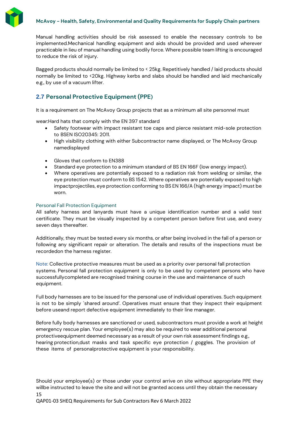

Bagged products should normally be limited to < 25kg. Repetitively handled / laid products should normally be limited to <20kg. Highway kerbs and slabs should be handled and laid mechanically e.g., by use of a vacuum lifter.

# <span id="page-14-0"></span>**2.7 Personal Protective Equipment (PPE)**

It is a requirement on The McAvoy Group projects that as a minimum all site personnel must

wear:Hard hats that comply with the EN 397 standard

- Safety footwear with impact resistant toe caps and pierce resistant mid-sole protection to BSEN ISO20345: 2011.
- High visibility clothing with either Subcontractor name displayed, or The McAvoy Group namedisplayed
- Gloves that conform to EN388
- Standard eye protection to a minimum standard of BS EN 166F (low energy impact).
- Where operatives are potentially exposed to a radiation risk from welding or similar, the eye protection must conform to BS 1542. Where operatives are potentially exposed to high impactprojectiles, eye protection conforming to BS EN 166/A (high energy impact) must be worn.

### Personal Fall Protection Equipment

All safety harness and lanyards must have a unique identification number and a valid test certificate. They must be visually inspected by a competent person before first use, and every seven days thereafter.

Additionally, they must be tested every six months, or after being involved in the fall of a person or following any significant repair or alteration. The details and results of the inspections must be recordedon the harness register.

Note: Collective protective measures must be used as a priority over personal fall protection systems. Personal fall protection equipment is only to be used by competent persons who have successfullycompleted are recognised training course in the use and maintenance of such equipment.

Full body harnesses are to be issued for the personal use of individual operatives. Such equipment is not to be simply `shared around'. Operatives must ensure that they inspect their equipment before useand report defective equipment immediately to their line manager.

Before fully body harnesses are sanctioned or used, subcontractors must provide a work at height emergency rescue plan. Your employee(s) may also be required to wear additional personal protectiveequipment deemed necessary as a result of your own risk assessment findings e.g., hearing protection,dust masks and task specific eye protection / goggles. The provision of these items of personalprotective equipment is your responsibility.

15 Should your employee(s) or those under your control arrive on site without appropriate PPE they willbe instructed to leave the site and will not be granted access until they obtain the necessary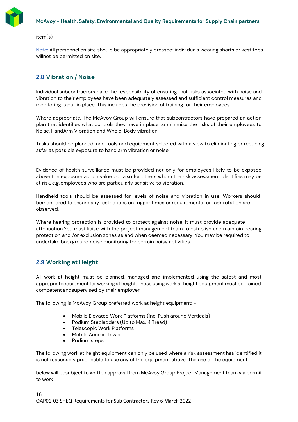

item(s).

Note: All personnel on site should be appropriately dressed: individuals wearing shorts or vest tops willnot be permitted on site.

# <span id="page-15-0"></span>**2.8 Vibration / Noise**

Individual subcontractors have the responsibility of ensuring that risks associated with noise and vibration to their employees have been adequately assessed and sufficient control measures and monitoring is put in place. This includes the provision of training for their employees

Where appropriate, The McAvoy Group will ensure that subcontractors have prepared an action plan that identifies what controls they have in place to minimise the risks of their employees to Noise, HandArm Vibration and Whole-Body vibration.

Tasks should be planned, and tools and equipment selected with a view to eliminating or reducing asfar as possible exposure to hand arm vibration or noise.

Evidence of health surveillance must be provided not only for employees likely to be exposed above the exposure action value but also for others whom the risk assessment identifies may be at risk, e.g.,employees who are particularly sensitive to vibration.

Handheld tools should be assessed for levels of noise and vibration in use. Workers should bemonitored to ensure any restrictions on trigger times or requirements for task rotation are observed.

Where hearing protection is provided to protect against noise, it must provide adequate attenuation.You must liaise with the project management team to establish and maintain hearing protection and /or exclusion zones as and when deemed necessary. You may be required to undertake background noise monitoring for certain noisy activities.

### <span id="page-15-1"></span>**2.9 Working at Height**

All work at height must be planned, managed and implemented using the safest and most appropriateequipment for working at height. Those using work at height equipment must be trained, competent andsupervised by their employer.

The following is McAvoy Group preferred work at height equipment: -

- Mobile Elevated Work Platforms (inc. Push around Verticals)
- Podium Stepladders (Up to Max. 4 Tread)
- Telescopic Work Platforms
- Mobile Access Tower
- Podium steps

The following work at height equipment can only be used where a risk assessment has identified it is not reasonably practicable to use any of the equipment above. The use of the equipment

below will besubject to written approval from McAvoy Group Project Management team via permit to work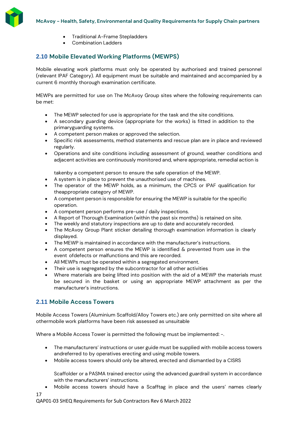

- Traditional A-Frame Stepladders
- Combination Ladders

# <span id="page-16-0"></span>**2.10 Mobile Elevated Working Platforms (MEWPS)**

Mobile elevating work platforms must only be operated by authorised and trained personnel (relevant IPAF Category). All equipment must be suitable and maintained and accompanied by a current 6 monthly thorough examination certificate.

MEWPs are permitted for use on The McAvoy Group sites where the following requirements can be met:

- The MEWP selected for use is appropriate for the task and the site conditions.
- A secondary guarding device (appropriate for the works) is fitted in addition to the primaryguarding systems.
- A competent person makes or approved the selection.
- Specific risk assessments, method statements and rescue plan are in place and reviewed regularly.
- Operations and site conditions including assessment of ground, weather conditions and adjacent activities are continuously monitored and, where appropriate, remedial action is

takenby a competent person to ensure the safe operation of the MEWP.

- A system is in place to prevent the unauthorised use of machines.
- The operator of the MEWP holds, as a minimum, the CPCS or IPAF qualification for theappropriate category of MEWP.
- A competent person is responsible for ensuring the MEWP is suitable for the specific operation.
- A competent person performs pre-use / daily inspections.
- A Report of Thorough Examination (within the past six months) is retained on site.
- The weekly and statutory inspections are up to date and accurately recorded.
- The McAvoy Group Plant sticker detailing thorough examination information is clearly displayed.
- The MEWP is maintained in accordance with the manufacturer's instructions.
- A competent person ensures the MEWP is identified & prevented from use in the event ofdefects or malfunctions and this are recorded.
- All MEWPs must be operated within a segregated environment.
- Their use is segregated by the subcontractor for all other activities
- Where materials are being lifted into position with the aid of a MEWP the materials must be secured in the basket or using an appropriate MEWP attachment as per the manufacturer's instructions.

# <span id="page-16-1"></span>**2.11 Mobile Access Towers**

Mobile Access Towers (Aluminium Scaffold/Alloy Towers etc.) are only permitted on site where all othermobile work platforms have been risk assessed as unsuitable

Where a Mobile Access Tower is permitted the following must be implemented: -.

- The manufacturers' instructions or user guide must be supplied with mobile access towers andreferred to by operatives erecting and using mobile towers.
- Mobile access towers should only be altered, erected and dismantled by a CISRS

Scaffolder or a PASMA trained erector using the advanced guardrail system in accordance with the manufacturers' instructions.

• Mobile access towers should have a Scafftag in place and the users' names clearly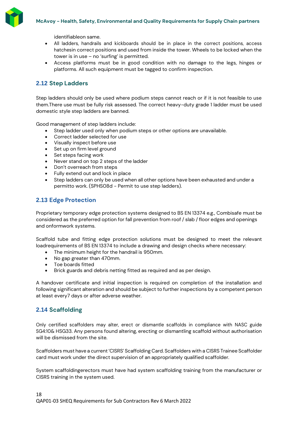

identifiableon same.

- All ladders, handrails and kickboards should be in place in the correct positions, access hatchesin correct positions and used from inside the tower. Wheels to be locked when the tower is in use – no 'surfing' is permitted.
- Access platforms must be in good condition with no damage to the legs, hinges or platforms. All such equipment must be tagged to confirm inspection.

# <span id="page-17-0"></span>**2.12 Step Ladders**

Step ladders should only be used where podium steps cannot reach or if it is not feasible to use them.There use must be fully risk assessed. The correct heavy-duty grade 1 ladder must be used domestic style step ladders are banned.

Good management of step ladders include:

- Step ladder used only when podium steps or other options are unavailable.
- Correct ladder selected for use
- Visually inspect before use
- Set up on firm level ground
- Set steps facing work
- Never stand on top 2 steps of the ladder
- Don't overreach from steps
- Fully extend out and lock in place
- Step ladders can only be used when all other options have been exhausted and under a permitto work. (SPHS08d - Permit to use step ladders).

### <span id="page-17-1"></span>**2.13 Edge Protection**

Proprietary temporary edge protection systems designed to BS EN 13374 e.g., Combisafe must be considered as the preferred option for fall prevention from roof / slab / floor edges and openings and onformwork systems.

Scaffold tube and fitting edge protection solutions must be designed to meet the relevant loadrequirements of BS EN 13374 to include a drawing and design checks where necessary:

- The minimum height for the handrail is 950mm.
- No gap greater than 470mm.
- Toe boards fitted
- Brick guards and debris netting fitted as required and as per design.

A handover certificate and initial inspection is required on completion of the installation and following significant alteration and should be subject to further inspections by a competent person at least every7 days or after adverse weather.

### <span id="page-17-2"></span>**2.14 Scaffolding**

Only certified scaffolders may alter, erect or dismantle scaffolds in compliance with NASC guide SG4:10& HSG33. Any persons found altering, erecting or dismantling scaffold without authorisation will be dismissed from the site.

Scaffolders must have a current'CISRS' Scaffolding Card. Scaffolders with a CISRS Trainee Scaffolder card must work under the direct supervision of an appropriately qualified scaffolder.

System scaffoldingerectors must have had system scaffolding training from the manufacturer or CISRS training in the system used.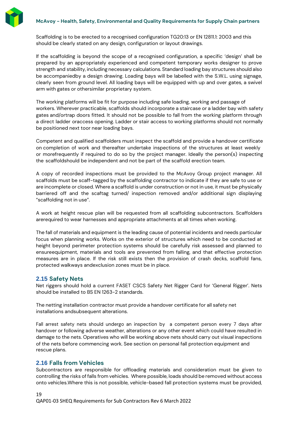Scaffolding is to be erected to a recognised configuration TG20:13 or EN 12811.1: 2003 and this should be clearly stated on any design, configuration or layout drawings.

If the scaffolding is beyond the scope of a recognised configuration, a specific 'design' shall be prepared by an appropriately experienced and competent temporary works designer to prove strength and stability, including necessary calculations. Standard loading bay structures should also be accompaniedby a design drawing. Loading bays will be labelled with the S.W.L. using signage, clearly seen from ground level. All loading bays will be equipped with up and over gates, a swivel arm with gates or othersimilar proprietary system.

The working platforms will be fit for purpose including safe loading, working and passage of workers. Wherever practicable, scaffolds should incorporate a staircase or a ladder bay with safety gates and/ortrap doors fitted. It should not be possible to fall from the working platform through a direct ladder oraccess opening. Ladder or stair access to working platforms should not normally be positioned next toor near loading bays.

Competent and qualified scaffolders must inspect the scaffold and provide a handover certificate on completion of work and thereafter undertake inspections of the structures at least weekly or morefrequently if required to do so by the project manager. Ideally the person(s) inspecting the scaffoldshould be independent and not be part of the scaffold erection team.

A copy of recorded inspections must be provided to the McAvoy Group project manager. All scaffolds must be scaff-tagged by the scaffolding contractor to indicate if they are safe to use or are incomplete or closed. Where a scaffold is under construction or not in use, it must be physically barriered off and the scaftag turned/ inspection removed and/or additional sign displaying "scaffolding not in use".

A work at height rescue plan will be requested from all scaffolding subcontractors. Scaffolders arerequired to wear harnesses and appropriate attachments at all times when working.

The fall of materials and equipment is the leading cause of potential incidents and needs particular focus when planning works. Works on the exterior of structures which need to be conducted at height beyond perimeter protection systems should be carefully risk assessed and planned to ensureequipment, materials and tools are prevented from falling, and that effective protection measures are in place. If the risk still exists then the provision of crash decks, scaffold fans, protected walkways andexclusion zones must be in place.

### <span id="page-18-0"></span>**2.15 Safety Nets**

Net riggers should hold a current FASET CSCS Safety Net Rigger Card for 'General Rigger'. Nets should be installed to BS EN 1263-2 standards.

The netting installation contractor must provide a handover certificate for all safety net installations andsubsequent alterations.

Fall arrest safety nets should undergo an inspection by a competent person every 7 days after handover or following adverse weather, alterations or any other event which could have resulted in damage to the nets. Operatives who will be working above nets should carry out visual inspections of the nets before commencing work. See section on personal fall protection equipment and rescue plans.

### <span id="page-18-1"></span>**2.16 Falls from Vehicles**

Subcontractors are responsible for offloading materials and consideration must be given to controlling the risks of falls from vehicles. Where possible, loads should be removed without access onto vehicles.Where this is not possible, vehicle-based fall protection systems must be provided,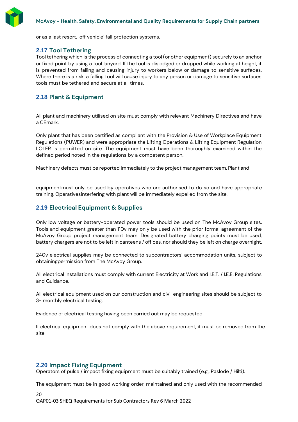

or as a last resort, 'off vehicle' fall protection systems.

### <span id="page-19-0"></span>**2.17 Tool Tethering**

Tool tethering which is the process of connecting a tool (or other equipment) securely to an anchor or fixed point by using a tool lanyard. If the tool is dislodged or dropped while working at height, it is prevented from falling and causing injury to workers below or damage to sensitive surfaces. Where there is a risk, a falling tool will cause injury to any person or damage to sensitive surfaces tools must be tethered and secure at all times.

# <span id="page-19-1"></span>**2.18 Plant & Equipment**

All plant and machinery utilised on site must comply with relevant Machinery Directives and have a CEmark.

Only plant that has been certified as compliant with the Provision & Use of Workplace Equipment Regulations (PUWER) and were appropriate the Lifting Operations & Lifting Equipment Regulation LOLER is permitted on site. The equipment must have been thoroughly examined within the defined period noted in the regulations by a competent person.

Machinery defects must be reported immediately to the project management team. Plant and

equipmentmust only be used by operatives who are authorised to do so and have appropriate training. Operativesinterfering with plant will be immediately expelled from the site.

### <span id="page-19-2"></span>**2.19 Electrical Equipment & Supplies**

Only low voltage or battery-operated power tools should be used on The McAvoy Group sites. Tools and equipment greater than 110v may only be used with the prior formal agreement of the McAvoy Group project management team. Designated battery charging points must be used, battery chargers are not to be left in canteens / offices, nor should they be left on charge overnight.

240v electrical supplies may be connected to subcontractors' accommodation units, subject to obtainingpermission from The McAvoy Group.

All electrical installations must comply with current Electricity at Work and I.E.T. / I.E.E. Regulations and Guidance.

All electrical equipment used on our construction and civil engineering sites should be subject to 3- monthly electrical testing.

Evidence of electrical testing having been carried out may be requested.

If electrical equipment does not comply with the above requirement, it must be removed from the site.

### <span id="page-19-3"></span>**2.20 Impact Fixing Equipment**

Operators of pulse / impact fixing equipment must be suitably trained (e.g., Paslode / Hilti).

The equipment must be in good working order, maintained and only used with the recommended

20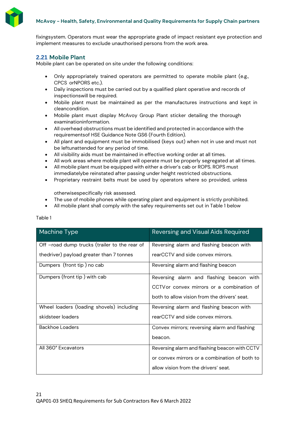

fixingsystem. Operators must wear the appropriate grade of impact resistant eye protection and implement measures to exclude unauthorised persons from the work area.

# <span id="page-20-0"></span>**2.21 Mobile Plant**

Mobile plant can be operated on site under the following conditions:

- Only appropriately trained operators are permitted to operate mobile plant (e.g., CPCS orNPORS etc.).
- Daily inspections must be carried out by a qualified plant operative and records of inspectionswill be required.
- Mobile plant must be maintained as per the manufactures instructions and kept in cleancondition.
- Mobile plant must display McAvoy Group Plant sticker detailing the thorough examinationinformation.
- All overhead obstructions must be identified and protected in accordance with the requirementsof HSE Guidance Note GS6 (Fourth Edition).
- All plant and equipment must be immobilised (keys out) when not in use and must not be leftunattended for any period of time.
- All visibility aids must be maintained in effective working order at all times.
- All work areas where mobile plant will operate must be properly segregated at all times.
- All mobile plant must be equipped with either a driver's cab or ROPS. ROPS must immediatelybe reinstated after passing under height restricted obstructions.
- Proprietary restraint belts must be used by operators where so provided, unless

otherwisespecifically risk assessed.

- The use of mobile phones while operating plant and equipment is strictly prohibited.
- All mobile plant shall comply with the safey requirements set out in Table 1 below

| Machine Type                                  | <b>Reversing and Visual Aids Required</b>     |
|-----------------------------------------------|-----------------------------------------------|
| Off -road dump trucks (trailer to the rear of | Reversing alarm and flashing beacon with      |
| thedriver) payload greater than 7 tonnes      | rearCCTV and side convex mirrors.             |
| Dumpers (front tip) no cab                    | Reversing alarm and flashing beacon           |
| Dumpers (front tip) with cab                  | Reversing alarm and flashing beacon with      |
|                                               | CCTV or convex mirrors or a combination of    |
|                                               | both to allow vision from the drivers' seat.  |
| Wheel loaders (loading shovels) including     | Reversing alarm and flashing beacon with      |
| skidsteer loaders                             | rearCCTV and side convex mirrors.             |
| <b>Backhoe Loaders</b>                        | Convex mirrors; reversing alarm and flashing  |
|                                               | beacon.                                       |
| All 360° Excavators                           | Reversing alarm and flashing beacon with CCTV |
|                                               | or convex mirrors or a combination of both to |
|                                               | allow vision from the drivers' seat.          |

### Table 1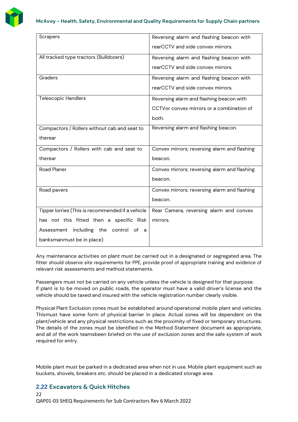

| Reversing alarm and flashing beacon with     |
|----------------------------------------------|
| rearCCTV and side convex mirrors.            |
| Reversing alarm and flashing beacon with     |
| rearCCTV and side convex mirrors.            |
| Reversing alarm and flashing beacon with     |
| rearCCTV and side convex mirrors.            |
| Reversing alarm and flashing beacon with     |
| CCTVor convex mirrors or a combination of    |
| both.                                        |
| Reversing alarm and flashing beacon.         |
|                                              |
| Convex mirrors; reversing alarm and flashing |
| beacon.                                      |
| Convex mirrors; reversing alarm and flashing |
| beacon.                                      |
| Convex mirrors; reversing alarm and flashing |
| beacon.                                      |
| Rear Camera, reversing alarm and convex      |
| mirrors.                                     |
|                                              |
|                                              |
|                                              |

Any maintenance activities on plant must be carried out in a designated or segregated area. The fitter should observe site requirements for PPE, provide proof of appropriate training and evidence of relevant risk assessments and method statements.

Passengers must not be carried on any vehicle unless the vehicle is designed for that purpose. If plant is to be moved on public roads, the operator must have a valid driver's license and the vehicle should be taxed and insured with the vehicle registration number clearly visible.

Physical Plant Exclusion zones must be established around operational mobile plant and vehicles. Thismust have some form of physical barrier in place. Actual zones will be dependent on the plant/vehicle and any physical restrictions such as the proximity of fixed or temporary structures. The details of the zones must be identified in the Method Statement document as appropriate, and all of the work teamsbeen briefed on the use of exclusion zones and the safe system of work required for entry.

Mobile plant must be parked in a dedicated area when not in use. Mobile plant equipment such as buckets, shovels, breakers etc. should be placed in a dedicated storage area.

# <span id="page-21-0"></span>**2.22 Excavators & Quick Hitches**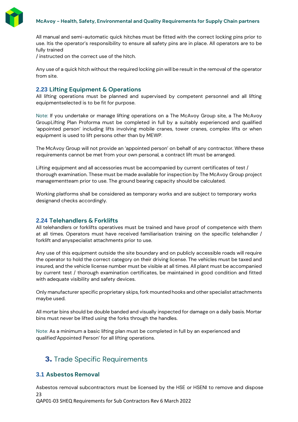

All manual and semi-automatic quick hitches must be fitted with the correct locking pins prior to use. Itis the operator's responsibility to ensure all safety pins are in place. All operators are to be fully trained

/ instructed on the correct use of the hitch.

Any use of a quick hitch without the required locking pin will be result in the removal of the operator from site.

### <span id="page-22-0"></span>**2.23 Lifting Equipment & Operations**

All lifting operations must be planned and supervised by competent personnel and all lifting equipmentselected is to be fit for purpose.

Note: If you undertake or manage lifting operations on a The McAvoy Group site, a The McAvoy GroupLifting Plan Proforma must be completed in full by a suitably experienced and qualified 'appointed person' including lifts involving mobile cranes, tower cranes, complex lifts or when equipment is used to lift persons other than by MEWP.

The McAvoy Group will not provide an 'appointed person' on behalf of any contractor. Where these requirements cannot be met from your own personal, a contract lift must be arranged.

Lifting equipment and all accessories must be accompanied by current certificates of test / thorough examination. These must be made available for inspection by The McAvoy Group project managementteam prior to use. The ground bearing capacity should be calculated.

Working platforms shall be considered as temporary works and are subject to temporary works designand checks accordingly.

### <span id="page-22-1"></span>**2.24 Telehandlers & Forklifts**

All telehandlers or forklifts operatives must be trained and have proof of competence with them at all times. Operators must have received familiarisation training on the specific telehandler / forklift and anyspecialist attachments prior to use.

Any use of this equipment outside the site boundary and on publicly accessible roads will require the operator to hold the correct category on their driving license. The vehicles must be taxed and insured, and the vehicle license number must be visible at all times. All plant must be accompanied by current test / thorough examination certificates, be maintained in good condition and fitted with adequate visibility and safety devices.

Only manufacturer specific proprietary skips, fork mounted hooks and other specialist attachments maybe used.

All mortar bins should be double banded and visually inspected for damage on a daily basis. Mortar bins must never be lifted using the forks through the handles.

Note: As a minimum a basic lifting plan must be completed in full by an experienced and qualified'Appointed Person' for all lifting operations.

# **3.** Trade Specific Requirements

### <span id="page-22-3"></span><span id="page-22-2"></span>**3.1 Asbestos Removal**

23 Asbestos removal subcontractors must be licensed by the HSE or HSENI to remove and dispose

QAP01-03 SHEQ Requirements for Sub Contractors Rev 6 March 2022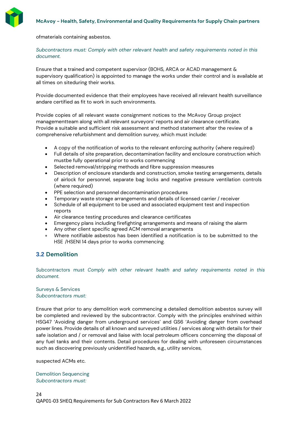

ofmaterials containing asbestos.

### *Subcontractors must: Comply with other relevant health and safety requirements noted in this document.*

Ensure that a trained and competent supervisor (BOHS, ARCA or ACAD management & supervisory qualification) is appointed to manage the works under their control and is available at all times on siteduring their works.

Provide documented evidence that their employees have received all relevant health surveillance andare certified as fit to work in such environments.

Provide copies of all relevant waste consignment notices to the McAvoy Group project managementteam along with all relevant surveyors' reports and air clearance certificate. Provide a suitable and sufficient risk assessment and method statement after the review of a comprehensive refurbishment and demolition survey, which must include:

- A copy of the notification of works to the relevant enforcing authority (where required)
- Full details of site preparation, decontamination facility and enclosure construction which mustbe fully operational prior to works commencing
- Selected removal/stripping methods and fibre suppression measures
- Description of enclosure standards and construction, smoke testing arrangements, details of airlock for personnel, separate bag locks and negative pressure ventilation controls (where required)
- PPE selection and personnel decontamination procedures
- Temporary waste storage arrangements and details of licensed carrier / receiver
- Schedule of all equipment to be used and associated equipment test and inspection reports
- Air clearance testing procedures and clearance certificates
- Emergency plans including firefighting arrangements and means of raising the alarm
- Any other client specific agreed ACM removal arrangements
- Where notifiable asbestos has been identified a notification is to be submitted to the HSE /HSENI 14 days prior to works commencing.

### <span id="page-23-0"></span>**3.2 Demolition**

Subcontractors must *Comply with other relevant health and safety requirements noted in this document.*

### Surveys & Services *Subcontractors must:*

Ensure that prior to any demolition work commencing a detailed demolition asbestos survey will be completed and reviewed by the subcontractor. Comply with the principles enshrined within HSG47 'Avoiding danger from underground services' and GS6 'Avoiding danger from overhead power lines. Provide details of all known and surveyed utilities / services along with details for their safe isolation and / or removal and liaise with local petroleum officers concerning the disposal of any fuel tanks and their contents. Detail procedures for dealing with unforeseen circumstances such as discovering previously unidentified hazards, e.g., utility services,

suspected ACMs etc.

Demolition Sequencing *Subcontractors must:*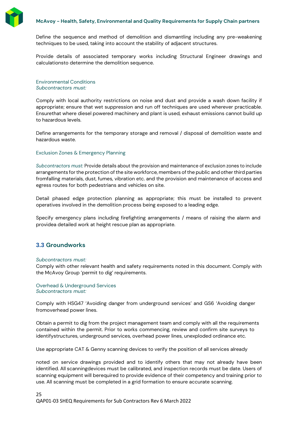

Define the sequence and method of demolition and dismantling including any pre-weakening techniques to be used, taking into account the stability of adjacent structures.

Provide details of associated temporary works including Structural Engineer drawings and calculationsto determine the demolition sequence.

Environmental Conditions *Subcontractors must:*

Comply with local authority restrictions on noise and dust and provide a wash down facility if appropriate; ensure that wet suppression and run off techniques are used wherever practicable. Ensurethat where diesel powered machinery and plant is used, exhaust emissions cannot build up to hazardous levels.

Define arrangements for the temporary storage and removal / disposal of demolition waste and hazardous waste.

### Exclusion Zones & Emergency Planning

*Subcontractors must:* Provide details about the provision and maintenance of exclusion zones to include arrangements for the protection of the site workforce, members of the public and other third parties fromfalling materials, dust, fumes, vibration etc. and the provision and maintenance of access and egress routes for both pedestrians and vehicles on site.

Detail phased edge protection planning as appropriate; this must be installed to prevent operatives involved in the demolition process being exposed to a leading edge.

Specify emergency plans including firefighting arrangements / means of raising the alarm and providea detailed work at height rescue plan as appropriate.

# <span id="page-24-0"></span>**3.3 Groundworks**

#### *Subcontractors must:*

Comply with other relevant health and safety requirements noted in this document. Comply with the McAvoy Group 'permit to dig' requirements.

#### Overhead & Underground Services *Subcontractors must:*

Comply with HSG47 'Avoiding danger from underground services' and GS6 'Avoiding danger fromoverhead power lines.

Obtain a permit to dig from the project management team and comply with all the requirements contained within the permit. Prior to works commencing, review and confirm site surveys to identifystructures, underground services, overhead power lines, unexploded ordinance etc.

Use appropriate CAT & Genny scanning devices to verify the position of all services already

noted on service drawings provided and to identify others that may not already have been identified. All scanningdevices must be calibrated, and inspection records must be date. Users of scanning equipment will berequired to provide evidence of their competency and training prior to use. All scanning must be completed in a grid formation to ensure accurate scanning.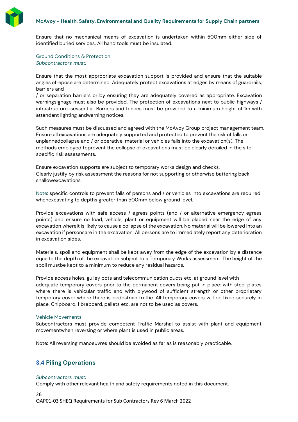

Ensure that no mechanical means of excavation is undertaken within 500mm either side of identified buried services. All hand tools must be insulated.

Ground Conditions & Protection *Subcontractors must:*

Ensure that the most appropriate excavation support is provided and ensure that the suitable angles ofrepose are determined. Adequately protect excavations at edges by means of guardrails, barriers and

/ or separation barriers or by ensuring they are adequately covered as appropriate. Excavation warningsignage must also be provided. The protection of excavations next to public highways / infrastructure isessential. Barriers and fences must be provided to a minimum height of 1m with attendant lighting andwarning notices.

Such measures must be discussed and agreed with the McAvoy Group project management team. Ensure all excavations are adequately supported and protected to prevent the risk of falls or unplannedcollapse and / or operative, material or vehicles falls into the excavation(s). The methods employed toprevent the collapse of excavations must be clearly detailed in the sitespecific risk assessments.

Ensure excavation supports are subject to temporary works design and checks. Clearly justify by risk assessment the reasons for not supporting or otherwise battering back shallowexcavations

Note: specific controls to prevent falls of persons and / or vehicles into excavations are required whenexcavating to depths greater than 500mm below ground level.

Provide excavations with safe access / egress points (and / or alternative emergency egress points) and ensure no load, vehicle, plant or equipment will be placed near the edge of any excavation whereit is likely to cause a collapse of the excavation. No material will be lowered into an excavation if personsare in the excavation. All persons are to immediately report any deterioration in excavation sides.

Materials, spoil and equipment shall be kept away from the edge of the excavation by a distance equalto the depth of the excavation subject to a Temporary Works assessment. The height of the spoil mustbe kept to a minimum to reduce any residual hazards.

Provide access holes, gulley pots and telecommunication ducts etc. at ground level with adequate temporary covers prior to the permanent covers being put in place: with steel plates where there is vehicular traffic and with plywood of sufficient strength or other proprietary temporary cover where there is pedestrian traffic. All temporary covers will be fixed securely in place. Chipboard, fibreboard, pallets etc. are not to be used as covers.

### Vehicle Movements

Subcontractors must provide competent Traffic Marshal to assist with plant and equipment movementwhen reversing or where plant is used in public areas.

Note: All reversing manoeuvres should be avoided as far as is reasonably practicable.

# <span id="page-25-0"></span>**3.4 Piling Operations**

#### *Subcontractors must:*

Comply with other relevant health and safety requirements noted in this document.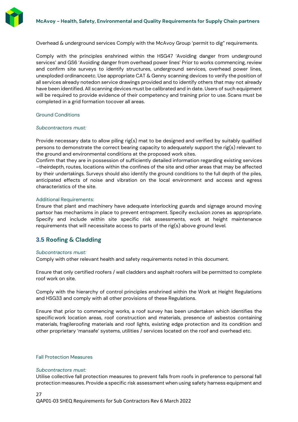

Overhead & underground services Comply with the McAvoy Group 'permit to dig" requirements.

Comply with the principles enshrined within the HSG47 'Avoiding danger from underground services' and GS6 'Avoiding danger from overhead power lines' Prior to works commencing, review and confirm site surveys to identify structures, underground services, overhead power lines, unexploded ordinanceetc. Use appropriate CAT & Genny scanning devices to verify the position of all services already notedon service drawings provided and to identify others that may not already have been identified. All scanning devices must be calibrated and in date. Users of such equipment will be required to provide evidence of their competency and training prior to use. Scans must be completed in a grid formation tocover all areas.

#### Ground Conditions

#### *Subcontractors must:*

Provide necessary data to allow piling rig(s) mat to be designed and verified by suitably qualified persons to demonstrate the correct bearing capacity to adequately support the rig(s) relevant to the ground and environmental conditions at the proposed work sites.

Confirm that they are in possession of sufficiently detailed information regarding existing services –theirdepth, routes, locations within the confines of the site and other areas that may be affected by their undertakings. Surveys should also identify the ground conditions to the full depth of the piles, anticipated effects of noise and vibration on the local environment and access and egress characteristics of the site.

#### Additional Requirements:

Ensure that plant and machinery have adequate interlocking guards and signage around moving partsor has mechanisms in place to prevent entrapment. Specify exclusion zones as appropriate. Specify and include within site specific risk assessments, work at height maintenance requirements that will necessitate access to parts of the rig(s) above ground level.

# <span id="page-26-0"></span>**3.5 Roofing & Cladding**

#### *Subcontractors must:*

Comply with other relevant health and safety requirements noted in this document.

Ensure that only certified roofers / wall cladders and asphalt roofers will be permitted to complete roof work on site.

Comply with the hierarchy of control principles enshrined within the Work at Height Regulations and HSG33 and comply with all other provisions of these Regulations.

Ensure that prior to commencing works, a roof survey has been undertaken which identifies the specificwork location areas, roof construction and materials, presence of asbestos containing materials, fragileroofing materials and roof lights, existing edge protection and its condition and other proprietary 'mansafe' systems, utilities / services located on the roof and overhead etc.

#### Fall Protection Measures

#### *Subcontractors must:*

Utilise collective fall protection measures to prevent falls from roofs in preference to personal fall protection measures. Provide a specific risk assessment when using safety harness equipment and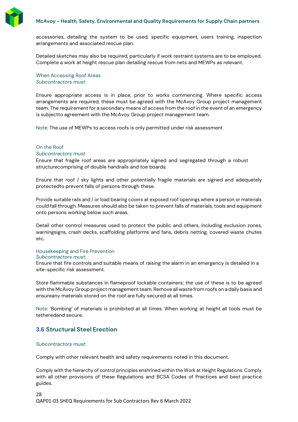

accessories, detailing the system to be used, specific equipment, users training, inspection arrangements and associated rescue plan.

Detailed sketches may also be required, particularly if work restraint systems are to be employed. Complete a work at height rescue plan detailing rescue from nets and MEWPs as relevant.

When Accessing Roof Areas *Subcontractors must:*

Ensure appropriate access is in place, prior to works commencing. Where specific access arrangements are required, these must be agreed with the McAvoy Group project management team. The requirement for a secondary means of access from the roof in the event of an emergency is subjectto agreement with the McAvoy Group project management team.

Note: The use of MEWPs to access roofs is only permitted under risk assessment

#### On the Roof

#### *Subcontractors must:*

Ensure that fragile roof areas are appropriately signed and segregated through a robust structurecomprising of double handrails and toe boards.

Ensure that roof / sky lights and other potentially fragile materials are signed and adequately protectedto prevent falls of persons through these.

Provide suitable rails and / or load bearing covers at exposed roof openings where a person or materials could fall through. Measures should also be taken to prevent falls of materials, tools and equipment onto persons working below such areas.

Detail other control measures used to protect the public and others, including exclusion zones, warningsigns, crash decks, scaffolding platforms and fans, debris netting, covered waste chutes etc.

#### Housekeeping and Fire Prevention *Subcontractors must:*

Ensure that fire controls and suitable means of raising the alarm in an emergency is detailed in a site-specific risk assessment.

Store flammable substances in flameproof lockable containers; the use of these is to be agreed with the McAvoy Group project management team. Remove all waste from roofs on a daily basis and ensureany materials stored on the roof are fully secured at all times.

Note: 'Bombing' of materials is prohibited at all times. When working at height all tools must be tetheredand secure.

### <span id="page-27-0"></span>**3.6 Structural Steel Erection**

#### *Subcontractors must:*

Comply with other relevant health and safety requirements noted in this document.

Comply with the hierarchy of control principles enshrined within the Work at Height Regulations. Comply with all other provisions of these Regulations and BCSA Codes of Practices and best practice guides.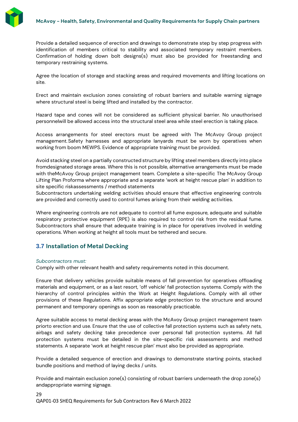

Provide a detailed sequence of erection and drawings to demonstrate step by step progress with identification of members critical to stability and associated temporary restraint members. Confirmation of holding down bolt designs(s) must also be provided for freestanding and temporary restraining systems.

Agree the location of storage and stacking areas and required movements and lifting locations on site.

Erect and maintain exclusion zones consisting of robust barriers and suitable warning signage where structural steel is being lifted and installed by the contractor.

Hazard tape and cones will not be considered as sufficient physical barrier. No unauthorised personnelwill be allowed access into the structural steel area while steel erection is taking place.

Access arrangements for steel erectors must be agreed with The McAvoy Group project management. Safety harnesses and appropriate lanyards must be worn by operatives when working from boom MEWPS. Evidence of appropriate training must be provided.

Avoid stacking steel on a partially constructed structure by lifting steel members directly into place fromdesignated storage areas. Where this is not possible, alternative arrangements must be made with theMcAvoy Group project management team. Complete a site-specific The McAvoy Group Lifting Plan Proforma where appropriate and a separate 'work at height rescue plan' in addition to site specific riskassessments / method statements

Subcontractors undertaking welding activities should ensure that effective engineering controls are provided and correctly used to control fumes arising from their welding activities.

Where engineering controls are not adequate to control all fume exposure, adequate and suitable respiratory protective equipment (RPE) is also required to control risk from the residual fume. Subcontractors shall ensure that adequate training is in place for operatives involved in welding operations. When working at height all tools must be tethered and secure.

### <span id="page-28-0"></span>**3.7 Installation of Metal Decking**

#### *Subcontractors must:*

Comply with other relevant health and safety requirements noted in this document.

Ensure that delivery vehicles provide suitable means of fall prevention for operatives offloading materials and equipment, or as a last resort, 'off vehicle' fall protection systems. Comply with the hierarchy of control principles within the Work at Height Regulations. Comply with all other provisions of these Regulations. Affix appropriate edge protection to the structure and around permanent and temporary openings as soon as reasonably practicable.

Agree suitable access to metal decking areas with the McAvoy Group project management team priorto erection and use. Ensure that the use of collective fall protection systems such as safety nets, airbags and safety decking take precedence over personal fall protection systems. All fall protection systems must be detailed in the site-specific risk assessments and method statements. A separate 'work at height rescue plan' must also be provided as appropriate.

Provide a detailed sequence of erection and drawings to demonstrate starting points, stacked bundle positions and method of laying decks / units.

Provide and maintain exclusion zone(s) consisting of robust barriers underneath the drop zone(s) andappropriate warning signage.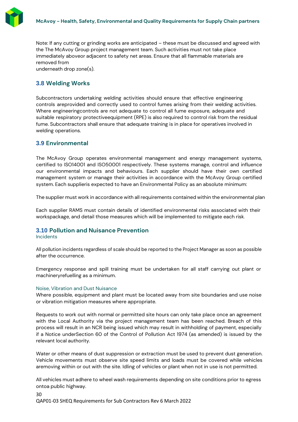

Note: If any cutting or grinding works are anticipated – these must be discussed and agreed with the The McAvoy Group project management team. Such activities must not take place immediately aboveor adjacent to safety net areas. Ensure that all flammable materials are removed from

underneath drop zone(s).

# <span id="page-29-0"></span>**3.8 Welding Works**

Subcontractors undertaking welding activities should ensure that effective engineering controls areprovided and correctly used to control fumes arising from their welding activities. Where engineeringcontrols are not adequate to control all fume exposure, adequate and suitable respiratory protectiveequipment (RPE) is also required to control risk from the residual fume. Subcontractors shall ensure that adequate training is in place for operatives involved in welding operations.

# <span id="page-29-1"></span>**3.9 Environmental**

The McAvoy Group operates environmental management and energy management systems, certified to ISO14001 and ISO50001 respectively. These systems manage, control and influence our environmental impacts and behaviours. Each supplier should have their own certified management system or manage their activities in accordance with the McAvoy Group certified system. Each supplieris expected to have an Environmental Policy as an absolute minimum:

The supplier must work in accordance with all requirements contained within the environmental plan

Each supplier RAMS must contain details of identified environmental risks associated with their workspackage, and detail those measures which will be implemented to mitigate each risk.

### <span id="page-29-2"></span>**3.10 Pollution and Nuisance Prevention**

#### Incidents

All pollution incidents regardless of scale should be reported to the Project Manager as soon as possible after the occurrence.

Emergency response and spill training must be undertaken for all staff carrying out plant or machineryrefuelling as a minimum.

#### Noise, Vibration and Dust Nuisance

Where possible, equipment and plant must be located away from site boundaries and use noise or vibration mitigation measures where appropriate.

Requests to work out with normal or permitted site hours can only take place once an agreement with the Local Authority via the project management team has been reached. Breach of this process will result in an NCR being issued which may result in withholding of payment, especially if a Notice underSection 60 of the Control of Pollution Act 1974 (as amended) is issued by the relevant local authority.

Water or other means of dust suppression or extraction must be used to prevent dust generation. Vehicle movements must observe site speed limits and loads must be covered while vehicles aremoving within or out with the site. Idling of vehicles or plant when not in use is not permitted.

All vehicles must adhere to wheel wash requirements depending on site conditions prior to egress ontoa public highway.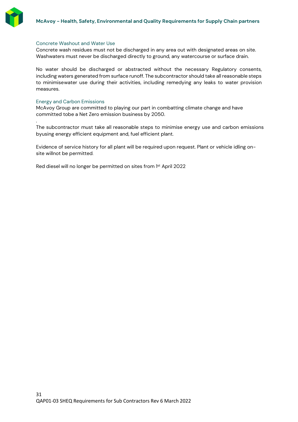

#### Concrete Washout and Water Use

Concrete wash residues must not be discharged in any area out with designated areas on site. Washwaters must never be discharged directly to ground, any watercourse or surface drain.

No water should be discharged or abstracted without the necessary Regulatory consents, including waters generated from surface runoff. The subcontractor should take all reasonable steps to minimisewater use during their activities, including remedying any leaks to water provision measures.

#### Energy and Carbon Emissions

.

McAvoy Group are committed to playing our part in combatting climate change and have committed tobe a Net Zero emission business by 2050.

The subcontractor must take all reasonable steps to minimise energy use and carbon emissions byusing energy efficient equipment and, fuel efficient plant.

Evidence of service history for all plant will be required upon request. Plant or vehicle idling onsite willnot be permitted.

Red diesel will no longer be permitted on sites from 1 st April 2022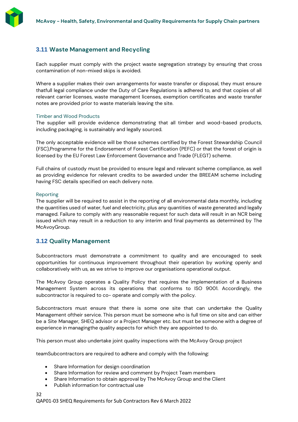# <span id="page-31-0"></span>**3.11 Waste Management and Recycling**

Each supplier must comply with the project waste segregation strategy by ensuring that cross contamination of non-mixed skips is avoided.

Where a supplier makes their own arrangements for waste transfer or disposal, they must ensure thatfull legal compliance under the Duty of Care Regulations is adhered to, and that copies of all relevant carrier licenses, waste management licenses, exemption certificates and waste transfer notes are provided prior to waste materials leaving the site.

### Timber and Wood Products

The supplier will provide evidence demonstrating that all timber and wood-based products, including packaging, is sustainably and legally sourced.

The only acceptable evidence will be those schemes certified by the Forest Stewardship Council (FSC),Programme for the Endorsement of Forest Certification (PEFC) or that the forest of origin is licensed by the EU Forest Law Enforcement Governance and Trade (FLEGT) scheme.

Full chains of custody must be provided to ensure legal and relevant scheme compliance, as well as providing evidence for relevant credits to be awarded under the BREEAM scheme including having FSC details specified on each delivery note.

### Reporting

The supplier will be required to assist in the reporting of all environmental data monthly, including the quantities used of water, fuel and electricity, plus any quantities of waste generated and legally managed. Failure to comply with any reasonable request for such data will result in an NCR being issued which may result in a reduction to any interim and final payments as determined by The McAvoyGroup.

# <span id="page-31-1"></span>**3.12 Quality Management**

Subcontractors must demonstrate a commitment to quality and are encouraged to seek opportunities for continuous improvement throughout their operation by working openly and collaboratively with us, as we strive to improve our organisations operational output.

The McAvoy Group operates a Quality Policy that requires the implementation of a Business Management System across its operations that conforms to ISO 9001. Accordingly, the subcontractor is required to co- operate and comply with the policy.

Subcontractors must ensure that there is some one site that can undertake the Quality Management oftheir service. This person must be someone who is full time on site and can either be a Site Manager, SHEQ advisor or a Project Manager etc. but must be someone with a degree of experience in managingthe quality aspects for which they are appointed to do.

This person must also undertake joint quality inspections with the McAvoy Group project

teamSubcontractors are required to adhere and comply with the following:

- Share Information for design coordination
- Share Information for review and comment by Project Team members
- Share Information to obtain approval by The McAvoy Group and the Client
- Publish information for contractual use

#### 32